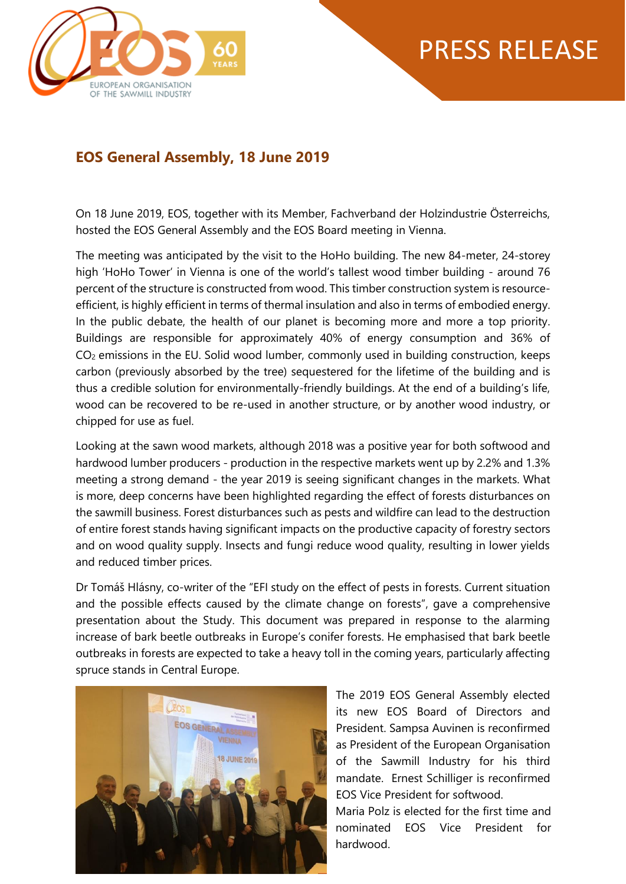

## PRESS RELEASE

## **EOS General Assembly, 18 June 2019**

On 18 June 2019, EOS, together with its Member, Fachverband der Holzindustrie Österreichs, hosted the EOS General Assembly and the EOS Board meeting in Vienna.

The meeting was anticipated by the visit to the HoHo building. The new 84-meter, 24-storey high 'HoHo Tower' in Vienna is one of the world's tallest wood timber building - around 76 percent of the structure is constructed from wood. This timber construction system is resourceefficient, is highly efficient in terms of thermal insulation and also in terms of embodied energy. In the public debate, the health of our planet is becoming more and more a top priority. Buildings are responsible for approximately 40% of energy consumption and 36% of CO<sup>2</sup> emissions in the EU. Solid wood lumber, commonly used in building construction, keeps carbon (previously absorbed by the tree) sequestered for the lifetime of the building and is thus a credible solution for environmentally-friendly buildings. At the end of a building's life, wood can be recovered to be re-used in another structure, or by another wood industry, or chipped for use as fuel.

Looking at the sawn wood markets, although 2018 was a positive year for both softwood and hardwood lumber producers - production in the respective markets went up by 2.2% and 1.3% meeting a strong demand - the year 2019 is seeing significant changes in the markets. What is more, deep concerns have been highlighted regarding the effect of forests disturbances on the sawmill business. Forest disturbances such as pests and wildfire can lead to the destruction of entire forest stands having significant impacts on the productive capacity of forestry sectors and on wood quality supply. Insects and fungi reduce wood quality, resulting in lower yields and reduced timber prices.

Dr Tomáš Hlásny, co-writer of the "EFI study on the effect of pests in forests. Current situation and the possible effects caused by the climate change on forests", gave a comprehensive presentation about the Study. This document was prepared in response to the alarming increase of bark beetle outbreaks in Europe's conifer forests. He emphasised that bark beetle outbreaks in forests are expected to take a heavy toll in the coming years, particularly affecting spruce stands in Central Europe.



The 2019 EOS General Assembly elected its new EOS Board of Directors and President. Sampsa Auvinen is reconfirmed as President of the European Organisation of the Sawmill Industry for his third mandate. Ernest Schilliger is reconfirmed EOS Vice President for softwood.

Maria Polz is elected for the first time and nominated EOS Vice President for hardwood.